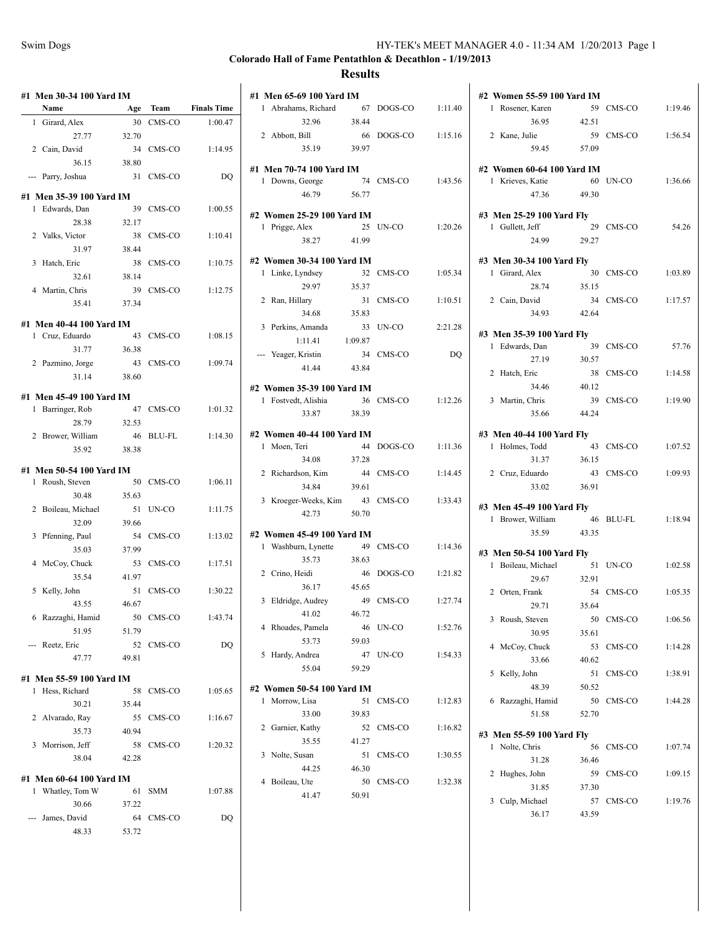|     | #1 Men 30-34 100 Yard IM<br>Name | Age   | Team      | <b>Finals Time</b> |
|-----|----------------------------------|-------|-----------|--------------------|
| 1   | Girard, Alex                     | 30    | CMS-CO    | 1:00.47            |
|     | 27.77                            | 32.70 |           |                    |
|     | 2 Cain, David                    | 34    | CMS-CO    | 1:14.95            |
|     | 36.15                            | 38.80 |           |                    |
|     |                                  | 31    | CMS-CO    |                    |
| --- | Parry, Joshua                    |       |           | DQ                 |
|     | #1 Men 35-39 100 Yard IM         |       |           |                    |
|     | 1 Edwards, Dan                   | 39    | CMS-CO    | 1:00.55            |
|     | 28.38                            | 32.17 |           |                    |
|     | 2 Valks, Victor                  | 38    | CMS-CO    | 1:10.41            |
|     | 31.97                            | 38.44 |           |                    |
|     | 3 Hatch, Eric                    | 38    | CMS-CO    | 1:10.75            |
|     | 32.61                            | 38.14 |           |                    |
| 4   | Martin, Chris                    | 39    | CMS-CO    | 1:12.75            |
|     | 35.41                            | 37.34 |           |                    |
|     | #1 Men 40-44 100 Yard IM         |       |           |                    |
|     | 1 Cruz, Eduardo                  | 43    | CMS-CO    | 1:08.15            |
|     | 31.77                            | 36.38 |           |                    |
|     | 2 Pazmino, Jorge                 | 43    | CMS-CO    | 1:09.74            |
|     | 31.14                            | 38.60 |           |                    |
|     |                                  |       |           |                    |
|     | #1 Men 45-49 100 Yard IM         |       |           |                    |
| 1   | Barringer, Rob                   | 47    | CMS-CO    | 1:01.32            |
|     | 28.79                            | 32.53 |           |                    |
|     | 2 Brower, William                | 46    | BLU-FL    | 1:14.30            |
|     | 35.92                            | 38.38 |           |                    |
|     | #1 Men 50-54 100 Yard IM         |       |           |                    |
| 1   | Roush, Steven                    | 50    | CMS-CO    | 1:06.11            |
|     | 30.48                            | 35.63 |           |                    |
|     | 2 Boileau, Michael               | 51    | UN-CO     | 1:11.75            |
|     | 32.09                            | 39.66 |           |                    |
| 3   | Pfenning, Paul                   | 54    | CMS-CO    | 1:13.02            |
|     | 35.03                            | 37.99 |           |                    |
|     | 4 McCoy, Chuck                   | 53    | CMS-CO    | 1:17.51            |
|     | 35.54                            | 41.97 |           |                    |
| 5   | Kelly, John                      | 51    | CMS-CO    | 1:30.22            |
|     | 43.55                            | 46.67 |           |                    |
|     | 6 Razzaghi, Hamid                |       | 50 CMS-CO | 1:43.74            |
|     | 51.95                            | 51.79 |           |                    |
|     | --- Reetz, Eric                  | 52    | CMS-CO    | DQ                 |
|     | 47.77                            | 49.81 |           |                    |
|     |                                  |       |           |                    |
|     | #1 Men 55-59 100 Yard IM         |       |           |                    |
|     | 1 Hess, Richard                  | 58    | CMS-CO    | 1:05.65            |
|     | 30.21                            | 35.44 |           |                    |
|     | 2 Alvarado, Ray                  |       | 55 CMS-CO | 1:16.67            |
|     | 35.73                            | 40.94 |           |                    |
|     | 3 Morrison, Jeff                 | 58    | CMS-CO    | 1:20.32            |
|     | 38.04                            | 42.28 |           |                    |
|     | #1 Men 60-64 100 Yard IM         |       |           |                    |
|     | 1 Whatley, Tom W                 | 61    | SMM       | 1:07.88            |
|     | 30.66                            | 37.22 |           |                    |
|     | --- James, David                 |       | 64 CMS-CO | DQ                 |
|     | 48.33                            | 53.72 |           |                    |

|   | #1 Men 65-69 100 Yard IM               |             |                    |         |
|---|----------------------------------------|-------------|--------------------|---------|
|   | 1 Abrahams, Richard 67 DOGS-CO 1:11.40 |             |                    |         |
|   | 32.96                                  | 38.44       |                    |         |
|   | 2 Abbott, Bill                         |             | 66 DOGS-CO         | 1:15.16 |
|   | 35.19 39.97                            |             |                    |         |
|   | #1 Men 70-74 100 Yard IM               |             |                    |         |
|   | 1 Downs, George                        |             | 74 CMS-CO          | 1:43.56 |
|   | 46.79 56.77                            |             |                    |         |
|   | #2 Women 25-29 100 Yard IM             |             |                    |         |
|   | 1 Prigge, Alex                         | 25          | UN-CO 1:20.26      |         |
|   | 38.27 41.99                            |             |                    |         |
|   |                                        |             |                    |         |
|   | #2 Women 30-34 100 Yard IM             |             |                    |         |
|   | 1 Linke, Lyndsey<br>29.97 35.37        |             | 32 CMS-CO          | 1:05.34 |
|   |                                        |             |                    |         |
|   | 2 Ran, Hillary                         |             | 31 CMS-CO          | 1:10.51 |
|   | 34.68 35.83                            |             |                    |         |
|   | 3 Perkins, Amanda                      |             | 33 UN-CO           | 2:21.28 |
|   | 1:11.41 1:09.87                        |             |                    |         |
|   | --- Yeager, Kristin<br>41.44           |             | 34 CMS-CO          | DQ      |
|   |                                        | 43.84       |                    |         |
|   | #2 Women 35-39 100 Yard IM             |             |                    |         |
|   | 1 Fostvedt, Alishia                    |             | 36 CMS-CO          | 1:12.26 |
|   | 33.87                                  | 38.39       |                    |         |
|   | #2 Women 40-44 100 Yard IM             |             |                    |         |
|   | 1 Moen, Teri                           |             | 44 DOGS-CO 1:11.36 |         |
|   | 34.08                                  | 37.28       |                    |         |
|   | 2 Richardson, Kim                      |             | 44 CMS-CO          | 1:14.45 |
|   | 34.84                                  |             |                    |         |
|   |                                        | 39.61       |                    |         |
|   | 3 Kroeger-Weeks, Kim 43 CMS-CO         |             |                    | 1:33.43 |
|   | 42.73 50.70                            |             |                    |         |
|   |                                        |             |                    |         |
|   | #2 Women 45-49 100 Yard IM             |             |                    |         |
|   | 1 Washburn, Lynette 49 CMS-CO 1:14.36  |             |                    |         |
|   | 35.73                                  | 38.63       |                    |         |
|   | 2 Crino, Heidi                         |             | 46 DOGS-CO         | 1:21.82 |
|   | 36.17                                  | 45.65       |                    |         |
| 3 | Eldridge, Audrey                       |             | 49 CMS-CO          | 1:27.74 |
|   | 41.02                                  | 46.72       |                    |         |
| 4 | Rhoades, Pamela                        | 46          | UN-CO              | 1:52.76 |
|   | 53.73                                  | 59.03       |                    |         |
| 5 | Hardy, Andrea                          | 47          | UN-CO              | 1:54.33 |
|   | 55.04                                  | 59.29       |                    |         |
|   | #2 Women 50-54 100 Yard IM             |             |                    |         |
| 1 | Morrow, Lisa                           | 51          | CMS-CO             | 1:12.83 |
|   | 33.00                                  | 39.83       |                    |         |
| 2 | Garnier, Kathy                         | 52          | CMS-CO             | 1:16.82 |
|   | 35.55                                  | 41.27       |                    |         |
| 3 | Nolte, Susan                           | 51          | CMS-CO             | 1:30.55 |
|   | 44.25                                  | 46.30       |                    |         |
| 4 | Boileau, Ute<br>41.47                  | 50<br>50.91 | CMS-CO             | 1:32.38 |

| #2 Women 55-59 100 Yard IM |       |           |                   |
|----------------------------|-------|-----------|-------------------|
| 1 Rosener, Karen           |       |           | 59 CMS-CO 1:19.46 |
| 36.95                      | 42.51 |           |                   |
| 2 Kane, Julie              |       | 59 CMS-CO | 1:56.54           |
| 59.45                      | 57.09 |           |                   |
| #2 Women 60-64 100 Yard IM |       |           |                   |
| 1 Krieves, Katie           |       |           | 60 UN-CO 1:36.66  |
| 47.36 49.30                |       |           |                   |
|                            |       |           |                   |
| #3 Men 25-29 100 Yard Fly  |       |           |                   |
| 1 Gullett, Jeff            |       | 29 CMS-CO | 54.26             |
| 24.99 29.27                |       |           |                   |
| #3 Men 30-34 100 Yard Fly  |       |           |                   |
| 1 Girard, Alex             |       | 30 CMS-CO | 1:03.89           |
| 28.74 35.15                |       |           |                   |
| 2 Cain, David              |       | 34 CMS-CO | 1:17.57           |
| 34.93 42.64                |       |           |                   |
| #3 Men 35-39 100 Yard Fly  |       |           |                   |
| 1 Edwards, Dan             |       | 39 CMS-CO | 57.76             |
| 27.19                      | 30.57 |           |                   |
| 2 Hatch, Eric              |       | 38 CMS-CO | 1:14.58           |
| 34.46 40.12                |       |           |                   |
| 3 Martin, Chris            |       | 39 CMS-CO | 1:19.90           |
| 35.66 44.24                |       |           |                   |
|                            |       |           |                   |
| #3 Men 40-44 100 Yard Fly  |       |           |                   |
| 1 Holmes, Todd             |       | 43 CMS-CO | 1:07.52           |
| 31.37                      | 36.15 |           |                   |
| 2 Cruz, Eduardo            |       | 43 CMS-CO | 1:09.93           |
| 33.02                      | 36.91 |           |                   |
| #3 Men 45-49 100 Yard Fly  |       |           |                   |
| 1 Brower, William          |       |           | 46 BLU-FL 1:18.94 |
| 35.59 43.35                |       |           |                   |
| #3 Men 50-54 100 Yard Fly  |       |           |                   |
| 1 Boileau, Michael         |       | 51 UN-CO  | 1:02.58           |
| 29.67                      | 32.91 |           |                   |
| 2 Orten, Frank             |       | 54 CMS-CO | 1:05.35           |
| 29.71 35.64                |       |           |                   |
| 3<br>Roush, Steven         | 50    | CMS-CO    | 1:06.56           |
| 30.95                      | 35.61 |           |                   |
| McCoy, Chuck<br>4          | 53    | CMS-CO    | 1:14.28           |
| 33.66                      | 40.62 |           |                   |
| 5<br>Kelly, John           | 51    | CMS-CO    | 1:38.91           |
| 48.39                      | 50.52 |           |                   |
| Razzaghi, Hamid<br>6       | 50    | CMS-CO    | 1:44.28           |
| 51.58                      | 52.70 |           |                   |
|                            |       |           |                   |
| #3 Men 55-59 100 Yard Fly  |       |           |                   |
| Nolte, Chris<br>1          | 56    | CMS-CO    | 1:07.74           |
| 31.28                      | 36.46 |           |                   |
| 2<br>Hughes, John          | 59    | CMS-CO    | 1:09.15           |
| 31.85                      | 37.30 |           |                   |
| Culp, Michael<br>3         | 57    | CMS-CO    | 1:19.76           |
| 36.17                      | 43.59 |           |                   |
|                            |       |           |                   |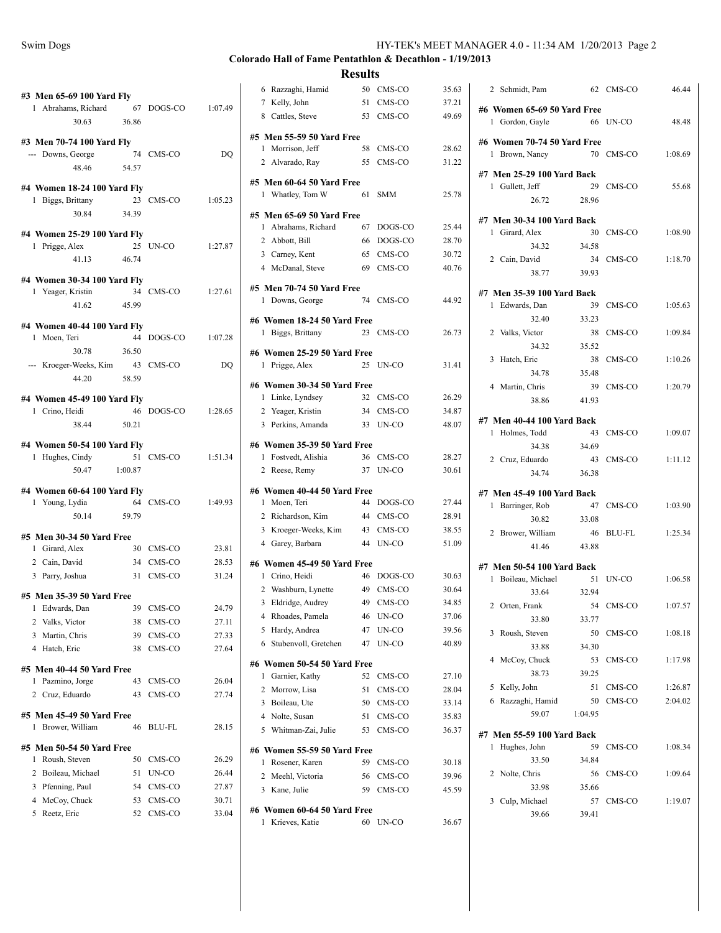| Swim Dogs | HY-TEK's MEET MANAGER 4.0 - 11:34 AM 1/20/2013 Page 2 |
|-----------|-------------------------------------------------------|
|           |                                                       |

**Results**

| #3 Men 65-69 100 Yard Fly                             |       |                    |         |
|-------------------------------------------------------|-------|--------------------|---------|
| 1 Abrahams, Richard 67 DOGS-CO 1:07.49<br>30.63 36.86 |       |                    |         |
|                                                       |       |                    |         |
| #3 Men 70-74 100 Yard Fly                             |       |                    |         |
| --- Downs, George 74 CMS-CO                           |       |                    | DQ      |
| 48.46 54.57                                           |       |                    |         |
| #4 Women 18-24 100 Yard Fly                           |       |                    |         |
| 1 Biggs, Brittany                                     |       | 23 CMS-CO 1:05.23  |         |
| 30.84                                                 | 34.39 |                    |         |
| #4 Women 25-29 100 Yard Fly                           |       |                    |         |
| 1 Prigge, Alex                                        |       | 25 UN-CO 1:27.87   |         |
| 41.13 46.74                                           |       |                    |         |
|                                                       |       |                    |         |
| #4 Women 30-34 100 Yard Fly                           |       |                    |         |
| 1 Yeager, Kristin 34 CMS-CO 1:27.61<br>41.62 45.99    |       |                    |         |
|                                                       |       |                    |         |
| #4 Women 40-44 100 Yard Fly                           |       |                    |         |
| 1 Moen, Teri                                          |       | 44 DOGS-CO 1:07.28 |         |
| 30.78 36.50                                           |       |                    |         |
| --- Kroeger-Weeks, Kim 43 CMS-CO                      |       |                    | DQ      |
| 44.20 58.59                                           |       |                    |         |
| #4 Women 45-49 100 Yard Fly                           |       |                    |         |
| 1 Crino, Heidi                                        |       | 46 DOGS-CO 1:28.65 |         |
| 38.44                                                 | 50.21 |                    |         |
| #4 Women 50-54 100 Yard Fly                           |       |                    |         |
| 1 Hughes, Cindy                                       |       | 51 CMS-CO 1:51.34  |         |
| 50.47 1:00.87                                         |       |                    |         |
|                                                       |       |                    |         |
| #4 Women 60-64 100 Yard Fly                           |       |                    |         |
| 1 Young, Lydia<br>ydia 64 CMS-CO<br>50.14 59.79       |       |                    | 1:49.93 |
|                                                       |       |                    |         |
| #5 Men 30-34 50 Yard Free                             |       |                    |         |
| 1 Girard, Alex                                        |       | 30 CMS-CO          | 23.81   |
| 2 Cain, David                                         |       | 34 CMS-CO          | 28.53   |
| 3 Parry, Joshua                                       |       | 31 CMS-CO          | 31.24   |
| #5 Men 35-39 50 Yard Free                             |       |                    |         |
| 1 Edwards, Dan 39 CMS-CO                              |       |                    | 24.79   |
| 2 Valks, Victor                                       |       | 38 CMS-CO          | 27.11   |
| 3<br>Martin, Chris                                    |       | 39 CMS-CO          | 27.33   |
| 4 Hatch, Eric                                         |       | 38 CMS-CO          | 27.64   |
| #5 Men 40-44 50 Yard Free                             |       |                    |         |
| 1 Pazmino, Jorge                                      | 43    | CMS-CO             | 26.04   |
| 2 Cruz, Eduardo                                       | 43    | CMS-CO             | 27.74   |
|                                                       |       |                    |         |
| #5 Men 45-49 50 Yard Free                             |       |                    |         |
| 1 Brower, William                                     | 46    | <b>BLU-FL</b>      | 28.15   |
| #5 Men 50-54 50 Yard Free                             |       |                    |         |
| 1<br>Roush, Steven                                    | 50    | CMS-CO             | 26.29   |
| 2 Boileau, Michael                                    | 51    | UN-CO              | 26.44   |
| 3 Pfenning, Paul                                      |       | 54 CMS-CO          | 27.87   |
| 4 McCoy, Chuck                                        |       | 53 CMS-CO          | 30.71   |
| 5<br>Reetz, Eric                                      | 52    | CMS-CO             | 33.04   |
|                                                       |       |                    |         |

| 6 Razzaghi, Hamid                                  | 50 | CMS-CO                | 35.63          |
|----------------------------------------------------|----|-----------------------|----------------|
| 7 Kelly, John                                      | 51 | CMS-CO                | 37.21          |
| 8 Cattles, Steve                                   | 53 | CMS-CO                | 49.69          |
| #5 Men 55-59 50 Yard Free                          |    |                       |                |
| Morrison, Jeff<br>1                                | 58 | CMS-CO                | 28.62          |
| 2 Alvarado, Ray                                    | 55 | CMS-CO                | 31.22          |
|                                                    |    |                       |                |
| #5 Men 60-64 50 Yard Free<br>1 Whatley, Tom W      | 61 | <b>SMM</b>            | 25.78          |
|                                                    |    |                       |                |
| #5 Men 65-69 50 Yard Free                          |    |                       |                |
| 1 Abrahams, Richard                                | 67 | DOGS-CO               | 25.44          |
| 2 Abbott, Bill                                     | 66 | DOGS-CO               | 28.70          |
| 3 Carney, Kent                                     | 65 | CMS-CO                | 30.72          |
| 4 McDanal, Steve                                   | 69 | CMS-CO                | 40.76          |
| #5 Men 70-74 50 Yard Free                          |    |                       |                |
| 1 Downs, George                                    | 74 | CMS-CO                | 44.92          |
| #6 Women 18-24 50 Yard Free                        |    |                       |                |
| 1 Biggs, Brittany                                  | 23 | CMS-CO                | 26.73          |
| #6 Women 25-29 50 Yard Free                        |    |                       |                |
| 1 Prigge, Alex                                     |    | 25 UN-CO              | 31.41          |
|                                                    |    |                       |                |
| #6 Women 30-34 50 Yard Free                        |    |                       |                |
| 1 Linke, Lyndsey                                   |    | 32 CMS-CO             | 26.29          |
| 2 Yeager, Kristin<br>3 Perkins, Amanda             |    | 34 CMS-CO<br>33 UN-CO | 34.87<br>48.07 |
|                                                    |    |                       |                |
| #6 Women 35-39 50 Yard Free                        |    |                       |                |
| 1 Fostvedt, Alishia                                |    | 36 CMS-CO             | 28.27          |
| Reese, Remy<br>2                                   | 37 | UN-CO                 | 30.61          |
| #6 Women 40-44 50 Yard Free                        |    |                       |                |
| 1 Moen, Teri                                       |    | 44 DOGS-CO            | 27.44          |
| 2 Richardson, Kim                                  | 44 | CMS-CO                | 28.91          |
| 3 Kroeger-Weeks, Kim                               | 43 | CMS-CO                | 38.55          |
| 4 Garey, Barbara                                   | 44 | UN-CO                 | 51.09          |
| #6 Women 45-49 50 Yard Free                        |    |                       |                |
| 1 Crino, Heidi                                     | 46 | DOGS-CO               | 30.63          |
| 2 Washburn, Lynette                                | 49 | CMS-CO                | 30.64          |
| 3 Eldridge, Audrey                                 | 49 | CMS-CO                | 34.85          |
| 4<br>Rhoades, Pamela                               | 46 | UN-CO                 | 37.06          |
| 5 Hardy, Andrea                                    | 47 | UN-CO                 | 39.56          |
| Stubenvoll, Gretchen<br>6                          | 47 | UN-CO                 | 40.89          |
| #6 Women 50-54 50 Yard Free                        |    |                       |                |
| Garnier, Kathy<br>1                                | 52 | CMS-CO                | 27.10          |
| 2 Morrow, Lisa                                     | 51 | CMS-CO                | 28.04          |
| 3 Boileau, Ute                                     |    | 50 CMS-CO             | 33.14          |
| 4 Nolte, Susan                                     |    | 51 CMS-CO             | 35.83          |
| 5 Whitman-Zai, Julie                               | 53 | CMS-CO                | 36.37          |
|                                                    |    |                       |                |
| #6 Women 55-59 50 Yard Free<br>Rosener, Karen<br>1 |    | 59 CMS-CO             | 30.18          |
| 2<br>Meehl, Victoria                               | 56 | CMS-CO                | 39.96          |
| 3 Kane, Julie                                      | 59 | CMS-CO                | 45.59          |
|                                                    |    |                       |                |
| #6  Women 60-64 50 Yard Free                       |    |                       |                |
| Krieves, Katie<br>1                                | 60 | UN-CO                 | 36.67          |
|                                                    |    |                       |                |

| 2 Schmidt, Pam                                 |                 | 62 CMS-CO     | 46.44   |
|------------------------------------------------|-----------------|---------------|---------|
| #6 Women 65-69 50 Yard Free<br>1 Gordon, Gayle |                 | 66 UN-CO      | 48.48   |
| #6 Women 70-74 50 Yard Free                    |                 |               |         |
| 1 Brown, Nancy                                 |                 | 70 CMS-CO     | 1:08.69 |
| #7 Men 25-29 100 Yard Back                     |                 |               |         |
| 1 Gullett, Jeff                                |                 | 29 CMS-CO     | 55.68   |
|                                                | 26.72 28.96     |               |         |
| #7 Men 30-34 100 Yard Back                     |                 |               |         |
| 1 Girard, Alex                                 | 30 <sup>°</sup> | CMS-CO        | 1:08.90 |
| 34.32                                          | 34.58           |               |         |
| 2 Cain, David                                  |                 | 34 CMS-CO     | 1:18.70 |
| 38.77                                          | 39.93           |               |         |
| #7 Men 35-39 100 Yard Back                     |                 |               |         |
| 1 Edwards, Dan                                 | 39              | CMS-CO        | 1:05.63 |
| 32.40                                          | 33.23           |               |         |
| 2 Valks, Victor                                | 38              | CMS-CO        | 1:09.84 |
| 34.32                                          | 35.52           |               |         |
| 3 Hatch, Eric                                  | 38              | CMS-CO        | 1:10.26 |
| 34.78                                          | 35.48           |               |         |
| 4 Martin, Chris                                | 39              | CMS-CO        | 1:20.79 |
| 38.86                                          | 41.93           |               |         |
| #7 Men 40-44 100 Yard Back                     |                 |               |         |
| 1 Holmes, Todd                                 | 43              | CMS-CO        | 1:09.07 |
| 34.38                                          | 34.69           |               |         |
| 2 Cruz, Eduardo                                | 43              | CMS-CO        | 1:11.12 |
| 34.74                                          | 36.38           |               |         |
| #7 Men 45-49 100 Yard Back                     |                 |               |         |
| 1<br>Barringer, Rob                            | 47              | CMS-CO        | 1:03.90 |
| 30.82                                          | 33.08           |               |         |
| 2 Brower, William                              | 46              | <b>BLU-FL</b> | 1:25.34 |
| 41.46                                          | 43.88           |               |         |
| #7 Men 50-54 100 Yard Back                     |                 |               |         |
| Boileau, Michael<br>$\mathbf{1}$               |                 | 51 UN-CO      | 1:06.58 |
| 33.64                                          | 32.94           |               |         |
| 2 Orten, Frank                                 |                 | 54 CMS-CO     | 1:07.57 |
| 33.80                                          | 33.77           |               |         |
| Roush, Steven<br>3                             | 50              | CMS-CO        | 1:08.18 |
| 33.88                                          | 34.30           |               |         |
| 4<br>McCoy, Chuck                              | 53              | CMS-CO        | 1:17.98 |
| 38.73                                          | 39.25           |               |         |
| Kelly, John<br>5                               | 51              | CMS-CO        | 1:26.87 |
| Razzaghi, Hamid<br>6                           | 50              | CMS-CO        | 2:04.02 |
| 59.07                                          | 1:04.95         |               |         |
| #7 Men 55-59 100 Yard Back                     |                 |               |         |
| Hughes, John<br>1                              | 59              | CMS-CO        | 1:08.34 |
| 33.50                                          | 34.84           |               |         |
| 2<br>Nolte, Chris                              | 56              | CMS-CO        | 1:09.64 |
| 33.98                                          | 35.66           |               |         |
| Culp, Michael<br>3                             | 57              | CMS-CO        | 1:19.07 |
| 39.66                                          | 39.41           |               |         |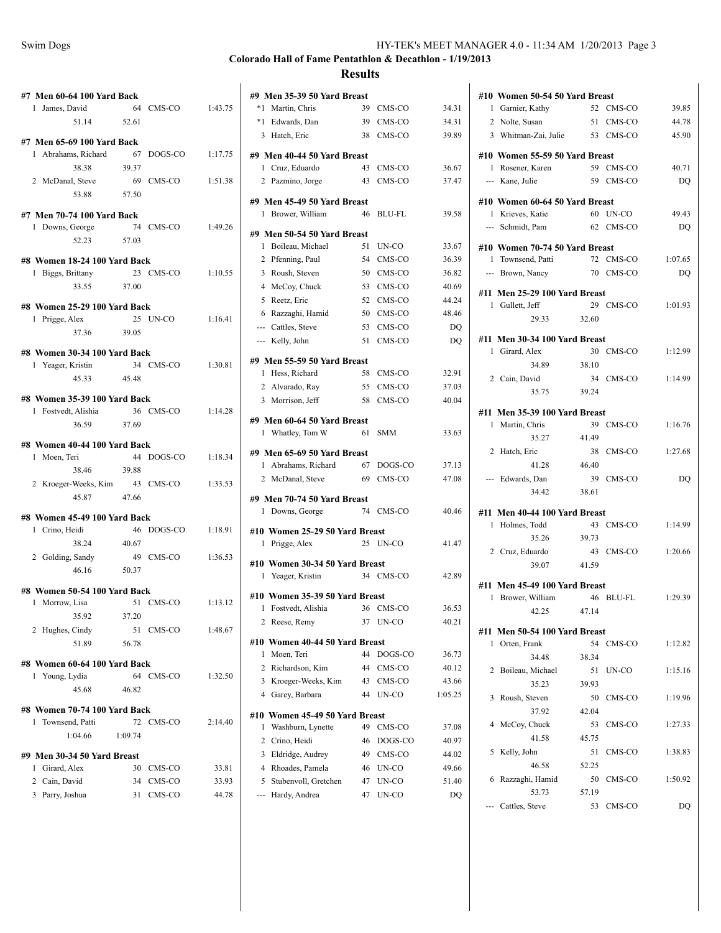| HY-TEK's MEET MANAGER 4.0 - 11:34 AM 1/20/2013 Page 3 |
|-------------------------------------------------------|
|                                                       |

| #7 Men 60-64 100 Yard Back<br>1 James, David                    |         | 64 CMS-CO 1:43.75  |         |
|-----------------------------------------------------------------|---------|--------------------|---------|
| 51.14 52.61                                                     |         |                    |         |
| #7 Men 65-69 100 Yard Back                                      |         |                    |         |
| 1 Abrahams, Richard                                             |         | 67 DOGS-CO 1:17.75 |         |
| 38.38                                                           | 39.37   |                    |         |
| 2 McDanal, Steve 69 CMS-CO 1:51.38<br>53.88 57.50               |         |                    |         |
| #7 Men 70-74 100 Yard Back                                      |         |                    |         |
|                                                                 |         | 74 CMS-CO          | 1:49.26 |
| 1 Downs, George 74<br>52.23 57.03                               |         |                    |         |
| #8 Women 18-24 100 Yard Back                                    |         |                    |         |
| 1 Biggs, Brittany 23 CMS-CO 1:10.55                             |         |                    |         |
| 33.55 37.00                                                     |         |                    |         |
| #8 Women 25-29 100 Yard Back                                    |         |                    |         |
| 1 Prigge, Alex                                                  |         | 25 UN-CO 1:16.41   |         |
| 37.36 39.05                                                     |         |                    |         |
| #8 Women 30-34 100 Yard Back                                    |         |                    |         |
| 1 Yeager, Kristin                                               |         | 34 CMS-CO 1:30.81  |         |
| 45.33 45.48                                                     |         |                    |         |
| #8 Women 35-39 100 Yard Back                                    |         |                    |         |
|                                                                 |         | 36 CMS-CO 1:14.28  |         |
| <b>Women 30</b><br>1 Fostvedt, Alishia<br>$\frac{36}{16}$ 37.69 |         |                    |         |
| #8 Women 40-44 100 Yard Back                                    |         |                    |         |
| 1 Moen, Teri                                                    |         | 44 DOGS-CO 1:18.34 |         |
| 38.46                                                           | 39.88   |                    |         |
| 2 Kroeger-Weeks, Kim 43 CMS-CO 1:33.53                          |         |                    |         |
| 45.87 47.66                                                     |         |                    |         |
| #8 Women 45-49 100 Yard Back                                    |         |                    |         |
| 1 Crino, Heidi                                                  |         | 46 DOGS-CO 1:18.91 |         |
| 38.24 40.67                                                     |         |                    |         |
| 2 Golding, Sandy                                                |         | 49 CMS-CO 1:36.53  |         |
| 46.16 50.37                                                     |         |                    |         |
| #8 Women 50-54 100 Yard Back                                    |         |                    |         |
| 1 Morrow, Lisa                                                  |         | 51 CMS-CO 1:13.12  |         |
| 35.92 37.20                                                     |         |                    |         |
| 2 Hughes, Cindy                                                 |         | 51 CMS-CO          | 1:48.67 |
| 51.89                                                           | 56.78   |                    |         |
| #8 Women 60-64 100 Yard Back                                    |         |                    |         |
| 1 Young, Lydia                                                  | 64      | CMS-CO             | 1:32.50 |
| 45.68                                                           | 46.82   |                    |         |
| #8 Women 70-74 100 Yard Back                                    |         |                    |         |
| Townsend, Patti<br>1                                            | 72      | CMS-CO             | 2:14.40 |
| 1:04.66                                                         | 1:09.74 |                    |         |
| #9 Men 30-34 50 Yard Breast                                     |         |                    |         |
| Girard, Alex<br>1                                               |         | 30 CMS-CO          | 33.81   |
| 2 Cain, David                                                   | 34      | CMS-CO             | 33.93   |
| 3 Parry, Joshua                                                 | 31      | CMS-CO             | 44.78   |

|                | #9 Men 35-39 50 Yard Breast                         |          |                |             |
|----------------|-----------------------------------------------------|----------|----------------|-------------|
| *1             | Martin, Chris                                       | 39       | CMS-CO         | 34.31       |
| $*1$           | Edwards, Dan                                        |          | 39 CMS-CO      | 34.31       |
|                | 3 Hatch, Eric                                       | 38       | CMS-CO         | 39.89       |
|                |                                                     |          |                |             |
| 1.             | #9 Men 40-44 50 Yard Breast<br>Cruz, Eduardo        | 43       | CMS-CO         | 36.67       |
|                | 2 Pazmino, Jorge                                    | 43       | CMS-CO         | 37.47       |
|                |                                                     |          |                |             |
|                | #9 Men 45-49 50 Yard Breast                         |          |                |             |
|                | 1 Brower, William                                   | 46       | <b>BLU-FL</b>  | 39.58       |
|                | #9 Men 50-54 50 Yard Breast                         |          |                |             |
| 1              | Boileau, Michael                                    |          | 51 UN-CO       | 33.67       |
| 2              | Pfenning, Paul                                      |          | 54 CMS-CO      | 36.39       |
| 3              | Roush, Steven                                       |          | 50 CMS-CO      | 36.82       |
| $\overline{4}$ | McCoy, Chuck                                        |          | 53 CMS-CO      | 40.69       |
| 5              | Reetz, Eric                                         |          | 52 CMS-CO      | 44.24       |
|                | 6 Razzaghi, Hamid                                   |          | 50 CMS-CO      | 48.46       |
|                | --- Cattles, Steve                                  |          | 53 CMS-CO      | DQ          |
|                | --- Kelly, John                                     | 51       | CMS-CO         | DQ          |
|                | #9 Men 55-59 50 Yard Breast                         |          |                |             |
|                | 1 Hess, Richard                                     | 58       | CMS-CO         | 32.91       |
|                | 2 Alvarado, Ray                                     |          | 55 CMS-CO      | 37.03       |
|                | 3 Morrison, Jeff                                    | 58       | CMS-CO         | 40.04       |
|                |                                                     |          |                |             |
|                | #9 Men 60-64 50 Yard Breast                         |          |                |             |
|                | 1 Whatley, Tom W                                    | 61       | <b>SMM</b>     | 33.63       |
|                |                                                     |          |                |             |
|                | #9 Men 65-69 50 Yard Breast                         |          |                |             |
|                | 1 Abrahams, Richard                                 |          | 67 DOGS-CO     | 37.13       |
|                | 2 McDanal, Steve                                    |          | 69 CMS-CO      | 47.08       |
|                |                                                     |          |                |             |
|                | #9 Men 70-74 50 Yard Breast                         | 74       |                | 40.46       |
|                | 1 Downs, George                                     |          | CMS-CO         |             |
|                | #10 Women 25-29 50 Yard Breast                      |          |                |             |
| 1              | Prigge, Alex                                        |          | $25$ IN-CO     | 41.47       |
|                | #10 Women 30-34 50 Yard Breast                      |          |                |             |
|                | 1 Yeager, Kristin                                   |          | 34 CMS-CO      | 42.89       |
|                |                                                     |          |                |             |
| 1              | #10 Women 35-39 50 Yard Breast<br>Fostvedt, Alishia | 36       | CMS-CO         | 36.53       |
| 2              | Reese, Remy                                         | 37       | UN-CO          | 40.21       |
|                |                                                     |          |                |             |
|                | #10 Women 40-44 50 Yard Breast                      |          |                |             |
| 1              | Moen, Teri                                          | 44       | DOGS-CO        | 36.73       |
| 2              | Richardson, Kim                                     | 44       | CMS-CO         | 40.12       |
| 3              | Kroeger-Weeks, Kim                                  | 43       | CMS-CO         | 43.66       |
| $\overline{4}$ | Garey, Barbara                                      | 44       | UN-CO          | 1:05.25     |
|                | #10 Women 45-49 50 Yard Breast                      |          |                |             |
| 1              | Washburn, Lynette                                   | 49       | CMS-CO         | 37.08       |
| 2              | Crino, Heidi                                        | 46       | DOGS-CO        | 40.97       |
| 3              | Eldridge, Audrey                                    | 49       | CMS-CO         | 44.02       |
| 4              | Rhoades, Pamela                                     | 46       | UN-CO          | 49.66       |
| 5              | Stubenvoll, Gretchen<br>Hardy, Andrea               | 47<br>47 | UN-CO<br>UN-CO | 51.40<br>DQ |

|                | #10 Women 50-54 50 Yard Breast |       |           |         |
|----------------|--------------------------------|-------|-----------|---------|
|                | 1 Garnier, Kathy               |       | 52 CMS-CO | 39.85   |
|                | 2 Nolte, Susan                 |       | 51 CMS-CO | 44.78   |
|                | 3 Whitman-Zai, Julie 53 CMS-CO |       |           | 45.90   |
|                | #10 Women 55-59 50 Yard Breast |       |           |         |
|                | 1 Rosener, Karen               |       | 59 CMS-CO | 40.71   |
|                | --- Kane, Julie                |       | 59 CMS-CO | DO      |
|                | #10 Women 60-64 50 Yard Breast |       |           |         |
|                | 1 Krieves, Katie               |       | 60 UN-CO  | 49.43   |
|                | --- Schmidt, Pam               |       | 62 CMS-CO | DO      |
|                | #10 Women 70-74 50 Yard Breast |       |           |         |
| 1              | Townsend, Patti                |       | 72 CMS-CO | 1:07.65 |
|                | --- Brown, Nancy               |       | 70 CMS-CO | DO      |
|                | #11 Men 25-29 100 Yard Breast  |       |           |         |
|                | 1 Gullett, Jeff                |       | 29 CMS-CO | 1:01.93 |
|                | 29.33                          | 32.60 |           |         |
|                | #11 Men 30-34 100 Yard Breast  |       |           |         |
|                | 1 Girard, Alex                 |       | 30 CMS-CO | 1:12.99 |
|                | 34.89                          | 38.10 |           |         |
|                | 2 Cain, David                  |       | 34 CMS-CO | 1:14.99 |
|                | 35.75                          | 39.24 |           |         |
|                | #11 Men 35-39 100 Yard Breast  |       |           |         |
|                | 1 Martin, Chris                |       | 39 CMS-CO | 1:16.76 |
|                | 35.27                          | 41.49 |           |         |
| $\overline{2}$ | Hatch, Eric                    |       | 38 CMS-CO | 1:27.68 |
|                | 41.28                          | 46.40 |           |         |
|                | --- Edwards, Dan               |       | 39 CMS-CO | DQ      |
|                | 34.42                          | 38.61 |           |         |
|                | #11 Men 40-44 100 Yard Breast  |       |           |         |
|                | 1 Holmes, Todd                 |       | 43 CMS-CO | 1:14.99 |
|                | 35.26                          | 39.73 |           |         |
|                | 2 Cruz, Eduardo                |       | 43 CMS-CO | 1:20.66 |
|                | 39.07                          | 41.59 |           |         |
|                | #11 Men 45-49 100 Yard Breast  |       |           |         |
|                | 1 Brower, William              |       | 46 BLU-FL | 1:29.39 |
|                | 42.25                          | 47.14 |           |         |
|                | #11 Men 50-54 100 Yard Breast  |       |           |         |
| 1              | Orten, Frank                   | 54    | CMS-CO    | 1:12.82 |
|                | 34.48                          | 38.34 |           |         |
| 2              | Boileau, Michael               | 51    | UN-CO     | 1:15.16 |
|                | 35.23                          | 39.93 |           |         |
| 3              | Roush, Steven                  | 50    | CMS-CO    | 1:19.96 |
|                | 37.92                          | 42.04 |           |         |
| 4              | McCoy, Chuck                   | 53    | CMS-CO    | 1:27.33 |
|                | 41.58                          | 45.75 |           |         |
| 5              | Kelly, John                    | 51    | CMS-CO    | 1:38.83 |
|                | 46.58                          | 52.25 |           |         |
| 6              | Razzaghi, Hamid                | 50    | CMS-CO    | 1:50.92 |
|                | 53.73                          | 57.19 |           |         |
|                | Cattles, Steve                 | 53    | CMS-CO    | DQ      |
|                |                                |       |           |         |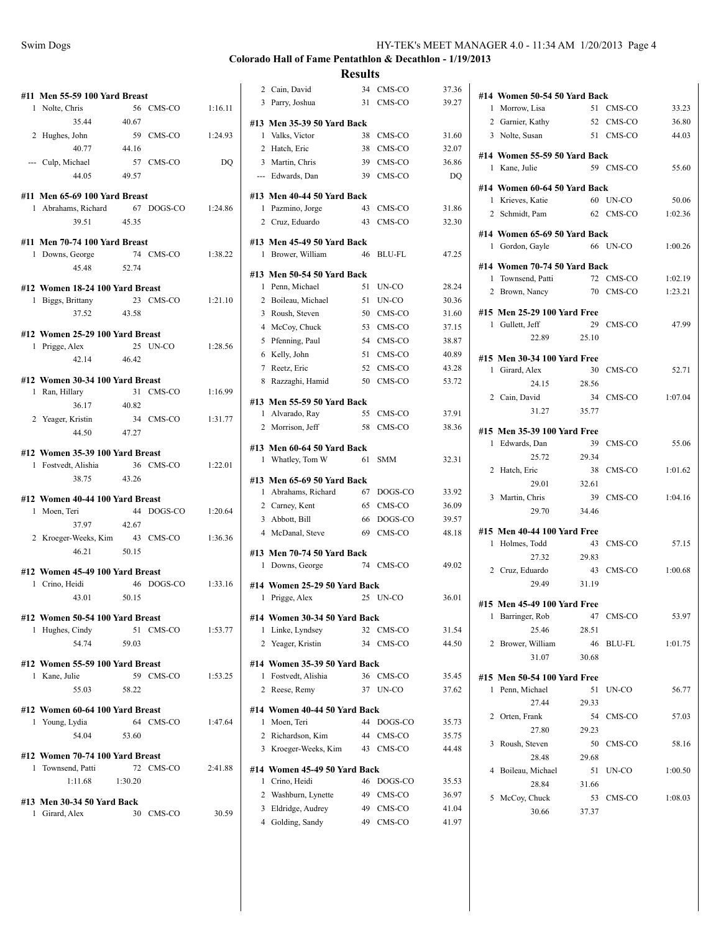| Swim Dogs | HY-TEK's MEET MANAGER 4.0 - 11:34 AM 1/20/2013 Page 4 |
|-----------|-------------------------------------------------------|
|           |                                                       |

| #11 Men 55-59 100 Yard Breast                        |         |                    |         |
|------------------------------------------------------|---------|--------------------|---------|
| 1 Nolte, Chris                                       |         | 56 CMS-CO          | 1:16.11 |
| 35.44                                                | 40.67   |                    |         |
| 2 Hughes, John                                       |         | 59 CMS-CO          | 1:24.93 |
| 40.77                                                | 44.16   |                    |         |
| --- Culp, Michael                                    |         | 57 CMS-CO          | DQ      |
| 44.05                                                | 49.57   |                    |         |
|                                                      |         |                    |         |
| #11 Men 65-69 100 Yard Breast                        |         |                    |         |
| 1 Abrahams, Richard 67 DOGS-CO 1:24.86               |         |                    |         |
| 39.51 45.35                                          |         |                    |         |
| #11 Men 70-74 100 Yard Breast                        |         |                    |         |
| 1 Downs, George                                      |         | 74 CMS-CO          | 1:38.22 |
| 45.48                                                | 52.74   |                    |         |
|                                                      |         |                    |         |
| #12 Women 18-24 100 Yard Breast<br>1 Biggs, Brittany |         | 23 CMS-CO 1:21.10  |         |
| 37.52 43.58                                          |         |                    |         |
|                                                      |         |                    |         |
| #12 Women 25-29 100 Yard Breast                      |         |                    |         |
| 1 Prigge, Alex                                       |         | 25 UN-CO           | 1:28.56 |
| 42.14 46.42                                          |         |                    |         |
| #12 Women 30-34 100 Yard Breast                      |         |                    |         |
| 1 Ran, Hillary                                       |         | 31 CMS-CO          | 1:16.99 |
| 36.17                                                | 40.82   |                    |         |
| 2 Yeager, Kristin                                    |         | 34 CMS-CO          | 1:31.77 |
| 44.50                                                | 47.27   |                    |         |
|                                                      |         |                    |         |
| #12 Women 35-39 100 Yard Breast                      |         |                    |         |
| 1 Fostvedt, Alishia                                  |         | 36 CMS-CO 1:22.01  |         |
| 38.75                                                | 43.26   |                    |         |
| #12 Women 40-44 100 Yard Breast                      |         |                    |         |
| 1 Moen, Teri                                         |         | 44 DOGS-CO 1:20.64 |         |
| 37.97                                                | 42.67   |                    |         |
| 2 Kroeger-Weeks, Kim                                 |         | 43 CMS-CO          | 1:36.36 |
| 46.21                                                | 50.15   |                    |         |
|                                                      |         |                    |         |
| #12 Women 45-49 100 Yard Breast                      |         |                    |         |
| 1 Crino, Heidi                                       |         | 46 DOGS-CO 1:33.16 |         |
| 43.01 50.15                                          |         |                    |         |
| #12 Women 50-54 100 Yard Breast                      |         |                    |         |
| 1 Hughes, Cindy                                      |         | 51 CMS-CO          | 1:53.77 |
| 54.74                                                | 59.03   |                    |         |
|                                                      |         |                    |         |
| #12 Women 55-59 100 Yard Breast                      |         | 59 CMS-CO          |         |
| 1 Kane, Julie                                        |         |                    | 1:53.25 |
| 55.03                                                | 58.22   |                    |         |
| #12 Women 60-64 100 Yard Breast                      |         |                    |         |
| 1 Young, Lydia                                       |         | 64 CMS-CO          | 1:47.64 |
| 54.04                                                | 53.60   |                    |         |
|                                                      |         |                    |         |
| #12 Women 70-74 100 Yard Breast<br>1 Townsend, Patti |         | 72 CMS-CO          | 2:41.88 |
| 1:11.68                                              | 1:30.20 |                    |         |
|                                                      |         |                    |         |
| #13 Men 30-34 50 Yard Back                           |         |                    |         |
| 1 Girard, Alex                                       |         | 30 CMS-CO          | 30.59   |
|                                                      |         |                    |         |

|                | 2 Cain, David                                 | 34 | CMS-CO     | 37.36 |
|----------------|-----------------------------------------------|----|------------|-------|
|                | 3 Parry, Joshua                               | 31 | CMS-CO     | 39.27 |
|                |                                               |    |            |       |
|                | #13 Men 35-39 50 Yard Back<br>1 Valks, Victor |    | 38 CMS-CO  | 31.60 |
|                | 2 Hatch, Eric                                 |    | 38 CMS-CO  | 32.07 |
|                | 3 Martin, Chris                               |    | 39 CMS-CO  | 36.86 |
|                | --- Edwards, Dan                              |    | 39 CMS-CO  | DQ    |
|                |                                               |    |            |       |
|                | #13 Men 40-44 50 Yard Back                    |    |            |       |
|                | 1 Pazmino, Jorge                              | 43 | CMS-CO     | 31.86 |
|                | 2 Cruz, Eduardo                               | 43 | CMS-CO     | 32.30 |
|                | #13 Men 45-49 50 Yard Back                    |    |            |       |
|                | 1 Brower, William                             | 46 | BLU-FL     | 47.25 |
|                | #13 Men 50-54 50 Yard Back                    |    |            |       |
|                | 1 Penn, Michael                               | 51 | UN-CO      | 28.24 |
|                | 2 Boileau, Michael                            | 51 | UN-CO      | 30.36 |
|                | 3 Roush, Steven                               | 50 | CMS-CO     | 31.60 |
|                | 4 McCoy, Chuck                                |    | 53 CMS-CO  | 37.15 |
|                | 5 Pfenning, Paul                              | 54 | CMS-CO     | 38.87 |
|                | 6 Kelly, John                                 | 51 | CMS-CO     | 40.89 |
|                | 7 Reetz, Eric                                 |    | 52 CMS-CO  | 43.28 |
|                | 8 Razzaghi, Hamid                             | 50 | CMS-CO     | 53.72 |
|                |                                               |    |            |       |
|                | #13 Men 55-59 50 Yard Back<br>1 Alvarado, Ray | 55 | CMS-CO     | 37.91 |
|                | 2 Morrison, Jeff                              | 58 | CMS-CO     | 38.36 |
|                |                                               |    |            |       |
|                | #13 Men 60-64 50 Yard Back                    |    |            |       |
|                | 1 Whatley, Tom W                              | 61 | <b>SMM</b> | 32.31 |
|                | #13 Men 65-69 50 Yard Back                    |    |            |       |
|                | 1 Abrahams, Richard                           |    | 67 DOGS-CO | 33.92 |
|                | 2 Carney, Kent                                |    | 65 CMS-CO  | 36.09 |
|                | 3 Abbott, Bill                                |    | 66 DOGS-CO | 39.57 |
|                | 4 McDanal, Steve                              | 69 | CMS-CO     | 48.18 |
|                | #13 Men 70-74 50 Yard Back                    |    |            |       |
|                | 1 Downs, George                               |    | 74 CMS-CO  | 49.02 |
|                | #14 Women 25-29 50 Yard Back                  |    |            |       |
| 1              | Prigge, Alex                                  |    | 25 UN-CO   | 36.01 |
|                |                                               |    |            |       |
|                | #14 Women 30-34 50 Yard Back                  |    |            |       |
| 1              | Linke, Lyndsey                                | 32 | CMS-CO     | 31.54 |
| $\overline{2}$ | Yeager, Kristin                               |    | 34 CMS-CO  | 44.50 |
|                | #14 Women 35-39 50 Yard Back                  |    |            |       |
| 1              | Fostvedt, Alishia                             | 36 | CMS-CO     | 35.45 |
|                | 2 Reese, Remy                                 | 37 | UN-CO      | 37.62 |
|                | #14 Women 40-44 50 Yard Back                  |    |            |       |
| 1              | Moen, Teri                                    | 44 | DOGS-CO    | 35.73 |
|                | 2 Richardson, Kim                             |    | 44 CMS-CO  | 35.75 |
|                | 3 Kroeger-Weeks, Kim                          |    | 43 CMS-CO  | 44.48 |
|                |                                               |    |            |       |
| 1              | #14 Women 45-49 50 Yard Back<br>Crino, Heidi  | 46 | DOGS-CO    | 35.53 |
|                | 2 Washburn, Lynette                           | 49 | CMS-CO     | 36.97 |
| 3              | Eldridge, Audrey                              | 49 | CMS-CO     | 41.04 |
| 4              | Golding, Sandy                                | 49 | CMS-CO     | 41.97 |
|                |                                               |    |            |       |

| #14 Women 50-54 50 Yard Back                    |       |           |         |
|-------------------------------------------------|-------|-----------|---------|
| 1 Morrow, Lisa                                  |       | 51 CMS-CO | 33.23   |
| 2 Garnier, Kathy                                |       | 52 CMS-CO | 36.80   |
| 3 Nolte, Susan                                  |       | 51 CMS-CO | 44.03   |
| #14 Women 55-59 50 Yard Back                    |       |           |         |
| 1 Kane, Julie                                   |       | 59 CMS-CO | 55.60   |
| #14 Women 60-64 50 Yard Back                    |       |           |         |
| 1 Krieves, Katie                                |       | 60 UN-CO  | 50.06   |
| 2 Schmidt, Pam                                  |       | 62 CMS-CO | 1:02.36 |
| #14 Women 65-69 50 Yard Back                    |       |           |         |
| 1 Gordon, Gayle                                 |       | 66 UN-CO  | 1:00.26 |
| #14 Women 70-74 50 Yard Back                    |       |           |         |
| 1 Townsend, Patti                               |       | 72 CMS-CO | 1:02.19 |
| 2 Brown, Nancy                                  |       | 70 CMS-CO | 1:23.21 |
| #15 Men 25-29 100 Yard Free                     |       |           |         |
| 1 Gullett, Jeff                                 | 29    | CMS-CO    | 47.99   |
| 22.89                                           | 25.10 |           |         |
| #15 Men 30-34 100 Yard Free                     |       |           |         |
| 1 Girard, Alex                                  | 30    | CMS-CO    | 52.71   |
| 24.15                                           | 28.56 |           |         |
| 2 Cain, David                                   | 34    | CMS-CO    | 1:07.04 |
| 31.27                                           | 35.77 |           |         |
|                                                 |       |           |         |
| #15 Men 35-39 100 Yard Free<br>1 Edwards, Dan   | 39    | CMS-CO    | 55.06   |
| 25.72                                           | 29.34 |           |         |
| 2 Hatch, Eric                                   | 38    | CMS-CO    | 1:01.62 |
| 29.01                                           | 32.61 |           |         |
| 3 Martin, Chris                                 | 39    | CMS-CO    | 1:04.16 |
| 29.70                                           | 34.46 |           |         |
| #15 Men 40-44 100 Yard Free                     |       |           |         |
| 1 Holmes, Todd                                  | 43    | CMS-CO    | 57.15   |
| 27.32                                           | 29.83 |           |         |
| 2 Cruz, Eduardo                                 | 43    | CMS-CO    | 1:00.68 |
| 29.49                                           | 31.19 |           |         |
|                                                 |       |           |         |
| #15 Men 45-49 100 Yard Free<br>1 Barringer, Rob |       | 47 CMS-CO | 53.97   |
| 25.46                                           | 28.51 |           |         |
| Brower, William<br>2                            | 46    | BLU-FL    | 1:01.75 |
| 31.07                                           | 30.68 |           |         |
|                                                 |       |           |         |
| #15 Men 50-54 100 Yard Free<br>1 Penn, Michael  | 51    | UN-CO     | 56.77   |
| 27.44                                           | 29.33 |           |         |
| 2<br>Orten, Frank                               | 54    | CMS-CO    | 57.03   |
| 27.80                                           | 29.23 |           |         |
| 3<br>Roush, Steven                              | 50    | CMS-CO    | 58.16   |
| 28.48                                           | 29.68 |           |         |
| Boileau, Michael<br>4                           | 51    | UN-CO     | 1:00.50 |
| 28.84                                           | 31.66 |           |         |
| 5<br>McCoy, Chuck                               | 53    | CMS-CO    | 1:08.03 |
| 30.66                                           | 37.37 |           |         |
|                                                 |       |           |         |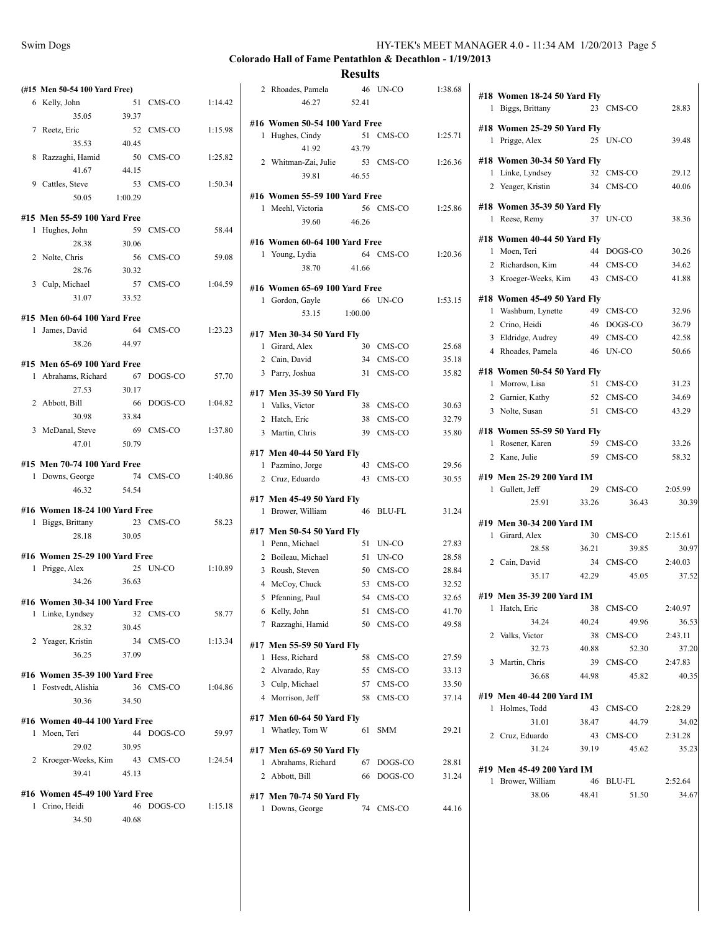| Swim Dogs | HY-TEK's MEET MANAGER 4.0 - 11:34 AM 1/20/2013 Page 5 |  |
|-----------|-------------------------------------------------------|--|
|           |                                                       |  |

|   | (#15 Men 50-54 100 Yard Free)                   |       |                    |         |
|---|-------------------------------------------------|-------|--------------------|---------|
|   | 6 Kelly, John                                   |       | 51 CMS-CO          | 1:14.42 |
|   | 35.05                                           | 39.37 |                    |         |
|   | 7 Reetz, Eric                                   | 52    | CMS-CO             | 1:15.98 |
|   | 35.53                                           | 40.45 |                    |         |
| 8 | Razzaghi, Hamid                                 | 50    | CMS-CO             | 1:25.82 |
|   | 41.67                                           | 44.15 |                    |         |
|   | 9 Cattles, Steve                                | 53    | CMS-CO             | 1:50.34 |
|   | 50.05 1:00.29                                   |       |                    |         |
|   | #15 Men 55-59 100 Yard Free                     |       |                    |         |
| 1 | Hughes, John                                    | 59    | CMS-CO             | 58.44   |
|   | 28.38                                           | 30.06 |                    |         |
|   | 2 Nolte, Chris                                  | 56    | CMS-CO             | 59.08   |
|   | 28.76 30.32                                     |       |                    |         |
|   | 3 Culp, Michael                                 | 57    | CMS-CO             | 1:04.59 |
|   | 31.07                                           | 33.52 |                    |         |
|   |                                                 |       |                    |         |
|   | #15 Men 60-64 100 Yard Free<br>1 James, David   |       | 64 CMS-CO          | 1:23.23 |
|   | 38.26                                           | 44.97 |                    |         |
|   |                                                 |       |                    |         |
|   | #15 Men 65-69 100 Yard Free                     |       |                    |         |
|   | 1 Abrahams, Richard 67 DOGS-CO                  |       |                    | 57.70   |
|   | 27.53                                           | 30.17 |                    |         |
|   | 2 Abbott, Bill                                  | 66    | DOGS-CO            | 1:04.82 |
|   | 30.98                                           | 33.84 |                    |         |
|   | 3 McDanal, Steve                                | 69    | CMS-CO             | 1:37.80 |
|   | 47.01                                           | 50.79 |                    |         |
|   | #15 Men 70-74 100 Yard Free                     |       |                    |         |
| 1 | Downs, George                                   |       | 74 CMS-CO          | 1:40.86 |
|   | 46.32                                           | 54.54 |                    |         |
|   | #16 Women 18-24 100 Yard Free                   |       |                    |         |
| 1 | Biggs, Brittany                                 |       | 23 CMS-CO          | 58.23   |
|   | 28.18                                           | 30.05 |                    |         |
|   | #16 Women 25-29 100 Yard Free                   |       |                    |         |
| 1 | Prigge, Alex                                    |       | 25 UN-CO           | 1:10.89 |
|   | 34.26 36.63                                     |       |                    |         |
|   |                                                 |       |                    |         |
|   | #16 Women 30-34 100 Yard Free                   |       |                    |         |
| 1 | Linke, Lyndsey<br>28.32                         | 30.45 | 32 CMS-CO          | 58.77   |
|   |                                                 |       | 34 CMS-CO          | 1:13.34 |
|   | 2 Yeager, Kristin<br>36.25                      | 37.09 |                    |         |
|   |                                                 |       |                    |         |
|   | #16 Women 35-39 100 Yard Free                   |       |                    |         |
|   | 1 Fostvedt, Alishia                             |       | 36 CMS-CO          | 1:04.86 |
|   | 30.36                                           | 34.50 |                    |         |
|   | #16 Women 40-44 100 Yard Free                   |       |                    |         |
| 1 | Moen, Teri                                      |       | 44 DOGS-CO         | 59.97   |
|   | 29.02                                           | 30.95 |                    |         |
|   | 2 Kroeger-Weeks, Kim                            |       | 43 CMS-CO          | 1:24.54 |
|   | 39.41                                           | 45.13 |                    |         |
|   |                                                 |       |                    |         |
|   |                                                 |       |                    |         |
|   | #16 Women 45-49 100 Yard Free<br>1 Crino, Heidi |       | 46 DOGS-CO 1:15.18 |         |
|   | 34.50                                           | 40.68 |                    |         |

|   | 2 Rhoades, Pamela                                |       | 46 UN-CO               | 1:38.68        |
|---|--------------------------------------------------|-------|------------------------|----------------|
|   | 46.27                                            | 52.41 |                        |                |
|   | #16 Women 50-54 100 Yard Free                    |       |                        |                |
| 1 | Hughes, Cindy                                    | 51    | CMS-CO                 | 1:25.71        |
|   | 41.92                                            | 43.79 |                        |                |
|   | 2 Whitman-Zai, Julie                             |       | 53 CMS-CO              | 1:26.36        |
|   | 39.81                                            | 46.55 |                        |                |
|   | #16 Women 55-59 100 Yard Free                    |       |                        |                |
|   | 1 Meehl, Victoria                                | 56    | CMS-CO                 | 1:25.86        |
|   | 39.60                                            | 46.26 |                        |                |
|   | #16 Women 60-64 100 Yard Free                    |       |                        |                |
|   | 1 Young, Lydia                                   |       | 64 CMS-CO              | 1:20.36        |
|   | 38.70                                            | 41.66 |                        |                |
|   |                                                  |       |                        |                |
|   | #16 Women 65-69 100 Yard Free<br>1 Gordon, Gayle | 66    | UN-CO                  | 1:53.15        |
|   | 53.15 1:00.00                                    |       |                        |                |
|   |                                                  |       |                        |                |
|   | #17 Men 30-34 50 Yard Fly                        |       | 30 CMS-CO              | 25.68          |
|   | 1 Girard, Alex<br>2 Cain, David                  |       | 34 CMS-CO              | 35.18          |
|   | 3 Parry, Joshua                                  |       | 31 CMS-CO              | 35.82          |
|   |                                                  |       |                        |                |
|   | #17 Men 35-39 50 Yard Fly                        |       |                        |                |
|   | 1 Valks, Victor                                  |       | 38 CMS-CO              | 30.63          |
|   | 2 Hatch, Eric<br>3 Martin, Chris                 |       | 38 CMS-CO<br>39 CMS-CO | 32.79<br>35.80 |
|   |                                                  |       |                        |                |
|   | #17 Men 40-44 50 Yard Fly                        |       |                        |                |
|   | 1 Pazmino, Jorge                                 |       | 43 CMS-CO              | 29.56          |
|   | 2 Cruz, Eduardo                                  | 43    | CMS-CO                 | 30.55          |
|   | #17 Men 45-49 50 Yard Fly                        |       |                        |                |
|   | 1 Brower, William                                | 46    | BLU-FL                 | 31.24          |
|   | #17 Men 50-54 50 Yard Fly                        |       |                        |                |
|   | 1 Penn, Michael                                  |       | 51 UN-CO               | 27.83          |
|   | 2 Boileau, Michael                               |       | 51 UN-CO               | 28.58          |
|   | 3 Roush, Steven                                  |       | 50 CMS-CO              | 28.84          |
|   | 4 McCoy, Chuck                                   |       | 53 CMS-CO              | 32.52          |
|   | 5 Pfenning, Paul                                 | 51    | 54 CMS-CO              | 32.65<br>41.70 |
| 7 | 6 Kelly, John<br>Razzaghi, Hamid                 | 50    | CMS-CO<br>CMS-CO       | 49.58          |
|   |                                                  |       |                        |                |
|   | #17 Men 55-59 50 Yard Fly                        |       |                        |                |
| 1 | Hess, Richard                                    |       | 58 CMS-CO              | 27.59          |
|   | 2 Alvarado, Ray<br>3 Culp, Michael               |       | 55 CMS-CO              | 33.13<br>33.50 |
|   | 4 Morrison, Jeff                                 | 58    | 57 CMS-CO<br>CMS-CO    | 37.14          |
|   |                                                  |       |                        |                |
|   | #17 Men 60-64 50 Yard Fly                        |       |                        |                |
|   | 1 Whatley, Tom W                                 | 61    | <b>SMM</b>             | 29.21          |
|   | #17 Men 65-69 50 Yard Fly                        |       |                        |                |
|   | 1 Abrahams, Richard                              | 67    | DOGS-CO                | 28.81          |
|   | 2 Abbott, Bill                                   |       | 66 DOGS-CO             | 31.24          |
|   | #17 Men 70-74 50 Yard Fly                        |       |                        |                |
| 1 | Downs, George                                    | 74    | CMS-CO                 | 44.16          |
|   |                                                  |       |                        |                |

|    | #18 Women 18-24 50 Yard Fly<br>1 Biggs, Brittany | 23    | CMS-CO     | 28.83   |
|----|--------------------------------------------------|-------|------------|---------|
| 1  | #18 Women 25-29 50 Yard Fly<br>Prigge, Alex      |       | 25 UN-CO   | 39.48   |
|    | #18 Women 30-34 50 Yard Fly                      |       |            |         |
|    | 1 Linke, Lyndsey                                 |       | 32 CMS-CO  | 29.12   |
|    | 2 Yeager, Kristin                                |       | 34 CMS-CO  | 40.06   |
|    | #18 Women 35-39 50 Yard Fly                      |       |            |         |
| 1. | Reese, Remy                                      | 37    | UN-CO      | 38.36   |
|    | #18 Women 40-44 50 Yard Fly                      |       |            |         |
|    | 1 Moen, Teri                                     | 44    | DOGS-CO    | 30.26   |
|    | 2 Richardson, Kim                                |       | 44 CMS-CO  | 34.62   |
|    | 3 Kroeger-Weeks, Kim                             |       | 43 CMS-CO  | 41.88   |
|    | #18 Women 45-49 50 Yard Fly                      |       |            |         |
|    | 1 Washburn, Lynette                              | 49    | CMS-CO     | 32.96   |
|    | 2 Crino, Heidi                                   |       | 46 DOGS-CO | 36.79   |
|    | 3 Eldridge, Audrey                               |       | 49 CMS-CO  | 42.58   |
|    | 4 Rhoades, Pamela                                |       | 46 UN-CO   | 50.66   |
|    | #18 Women 50-54 50 Yard Fly                      |       |            |         |
|    | 1 Morrow, Lisa                                   | 51    | CMS-CO     | 31.23   |
|    | 2 Garnier, Kathy                                 |       | 52 CMS-CO  | 34.69   |
|    | 3 Nolte, Susan                                   | 51    | CMS-CO     | 43.29   |
|    | #18 Women 55-59 50 Yard Fly                      |       |            |         |
|    | 1 Rosener, Karen                                 | 59    | CMS-CO     | 33.26   |
|    | 2 Kane, Julie                                    | 59    | CMS-CO     | 58.32   |
|    | #19 Men 25-29 200 Yard IM                        |       |            |         |
|    | 1 Gullett, Jeff                                  | 29    | CMS-CO     | 2:05.99 |
|    | 25.91                                            | 33.26 | 36.43      | 30.39   |
|    | #19 Men 30-34 200 Yard IM                        |       |            |         |
|    | 1 Girard, Alex                                   | 30    | CMS-CO     | 2:15.61 |
|    | 28.58                                            | 36.21 | 39.85      | 30.97   |
|    | 2 Cain, David                                    | 34    | CMS-CO     | 2:40.03 |
|    | 35.17                                            | 42.29 | 45.05      | 37.52   |
|    | #19 Men 35-39 200 Yard IM                        |       |            |         |
| 1  | Hatch, Eric                                      | 38    | CMS-CO     | 2:40.97 |
|    | 34.24                                            | 40.24 | 49.96      | 36.53   |
|    | 2 Valks, Victor                                  |       | 38 CMS-CO  | 2:43.11 |
|    | 32.73                                            | 40.88 | 52.30      | 37.20   |
|    | 3 Martin, Chris                                  |       | 39 CMS-CO  | 2:47.83 |
|    | 36.68                                            | 44.98 | 45.82      | 40.35   |
|    | #19 Men 40-44 200 Yard IM                        |       |            |         |
|    | 1 Holmes, Todd                                   |       | 43 CMS-CO  | 2:28.29 |
|    | 31.01                                            | 38.47 | 44.79      | 34.02   |
|    | 2 Cruz, Eduardo                                  |       | 43 CMS-CO  | 2:31.28 |
|    | 31.24                                            | 39.19 | 45.62      | 35.23   |
|    | #19 Men 45-49 200 Yard IM                        |       |            |         |
|    | 1 Brower, William                                |       | 46 BLU-FL  | 2:52.64 |
|    | 38.06 48.41                                      |       | 51.50      | 34.67   |
|    |                                                  |       |            |         |
|    |                                                  |       |            |         |